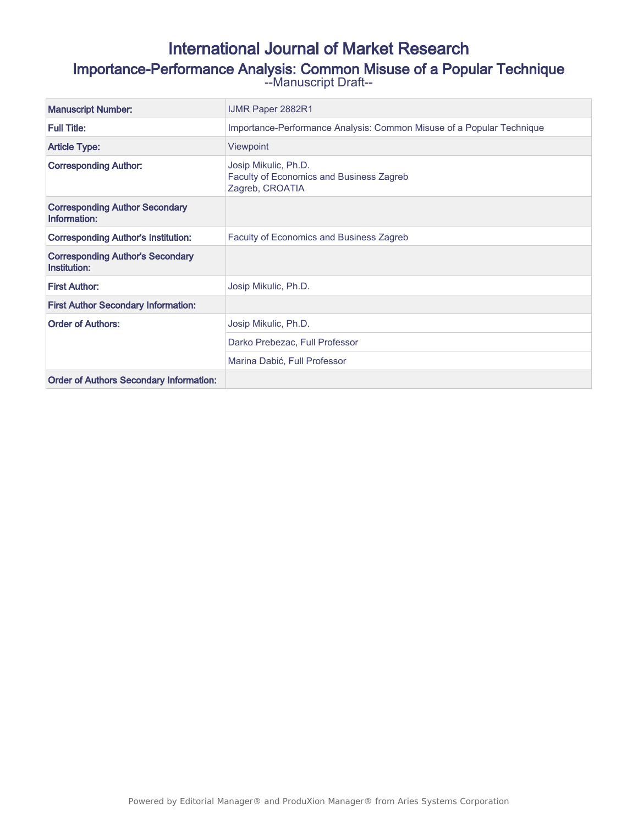# International Journal of Market Research Importance-Performance Analysis: Common Misuse of a Popular Technique

--Manuscript Draft--

| <b>Manuscript Number:</b>                               | <b>IJMR Paper 2882R1</b>                                                            |
|---------------------------------------------------------|-------------------------------------------------------------------------------------|
| <b>Full Title:</b>                                      | Importance-Performance Analysis: Common Misuse of a Popular Technique               |
| <b>Article Type:</b>                                    | <b>Viewpoint</b>                                                                    |
| <b>Corresponding Author:</b>                            | Josip Mikulic, Ph.D.<br>Faculty of Economics and Business Zagreb<br>Zagreb, CROATIA |
| <b>Corresponding Author Secondary</b><br>Information:   |                                                                                     |
| <b>Corresponding Author's Institution:</b>              | <b>Faculty of Economics and Business Zagreb</b>                                     |
| <b>Corresponding Author's Secondary</b><br>Institution: |                                                                                     |
| <b>First Author:</b>                                    | Josip Mikulic, Ph.D.                                                                |
| <b>First Author Secondary Information:</b>              |                                                                                     |
| <b>Order of Authors:</b>                                | Josip Mikulic, Ph.D.                                                                |
|                                                         | Darko Prebezac, Full Professor                                                      |
|                                                         | Marina Dabić, Full Professor                                                        |
| <b>Order of Authors Secondary Information:</b>          |                                                                                     |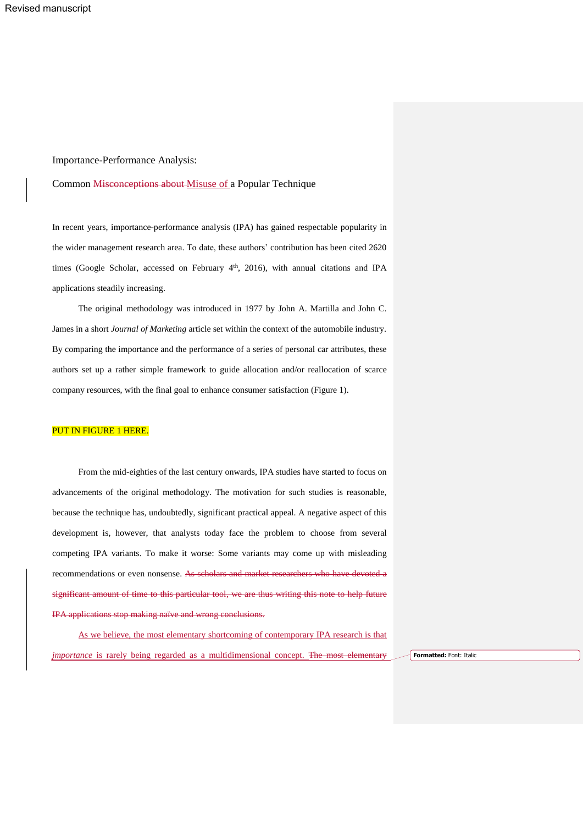## Importance-Performance Analysis:

#### Common Misconceptions about Misuse of a Popular Technique

In recent years, importance-performance analysis (IPA) has gained respectable popularity in the wider management research area. To date, these authors' contribution has been cited 2620 times (Google Scholar, accessed on February  $4<sup>th</sup>$ , 2016), with annual citations and IPA applications steadily increasing.

The original methodology was introduced in 1977 by John A. Martilla and John C. James in a short *Journal of Marketing* article set within the context of the automobile industry. By comparing the importance and the performance of a series of personal car attributes, these authors set up a rather simple framework to guide allocation and/or reallocation of scarce company resources, with the final goal to enhance consumer satisfaction (Figure 1).

## PUT IN FIGURE 1 HERE.

From the mid-eighties of the last century onwards, IPA studies have started to focus on advancements of the original methodology. The motivation for such studies is reasonable, because the technique has, undoubtedly, significant practical appeal. A negative aspect of this development is, however, that analysts today face the problem to choose from several competing IPA variants. To make it worse: Some variants may come up with misleading recommendations or even nonsense. As scholars and market researchers who have devoted a significant amount of time to this particular tool, we are thus writing this note to help future IPA applications stop making naïve and wrong conclusions.

As we believe, the most elementary shortcoming of contemporary IPA research is that *importance* is rarely being regarded as a multidimensional concept. The most elementary **Formatted:** Font: Italic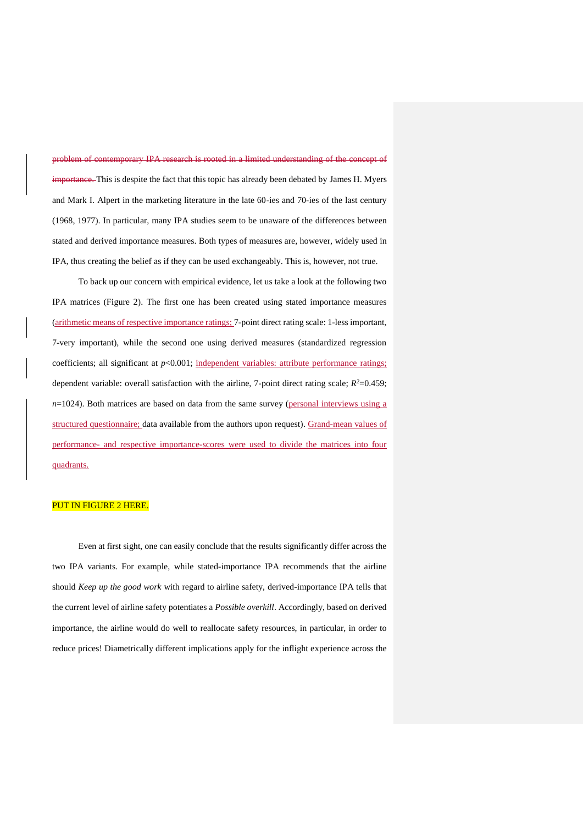problem of contemporary IPA research is rooted in a limited understanding of the concept of importance. This is despite the fact that this topic has already been debated by James H. Myers and Mark I. Alpert in the marketing literature in the late 60-ies and 70-ies of the last century (1968, 1977). In particular, many IPA studies seem to be unaware of the differences between stated and derived importance measures. Both types of measures are, however, widely used in IPA, thus creating the belief as if they can be used exchangeably. This is, however, not true.

To back up our concern with empirical evidence, let us take a look at the following two IPA matrices (Figure 2). The first one has been created using stated importance measures (arithmetic means of respective importance ratings; 7-point direct rating scale: 1-less important, 7-very important), while the second one using derived measures (standardized regression coefficients; all significant at  $p<0.001$ ; independent variables: attribute performance ratings; dependent variable: overall satisfaction with the airline, 7-point direct rating scale;  $R^2$ =0.459; *n*=1024). Both matrices are based on data from the same survey (personal interviews using a structured questionnaire; data available from the authors upon request). Grand-mean values of performance- and respective importance-scores were used to divide the matrices into four quadrants.

## PUT IN FIGURE 2 HERE.

Even at first sight, one can easily conclude that the results significantly differ across the two IPA variants. For example, while stated-importance IPA recommends that the airline should *Keep up the good work* with regard to airline safety, derived-importance IPA tells that the current level of airline safety potentiates a *Possible overkill*. Accordingly, based on derived importance, the airline would do well to reallocate safety resources, in particular, in order to reduce prices! Diametrically different implications apply for the inflight experience across the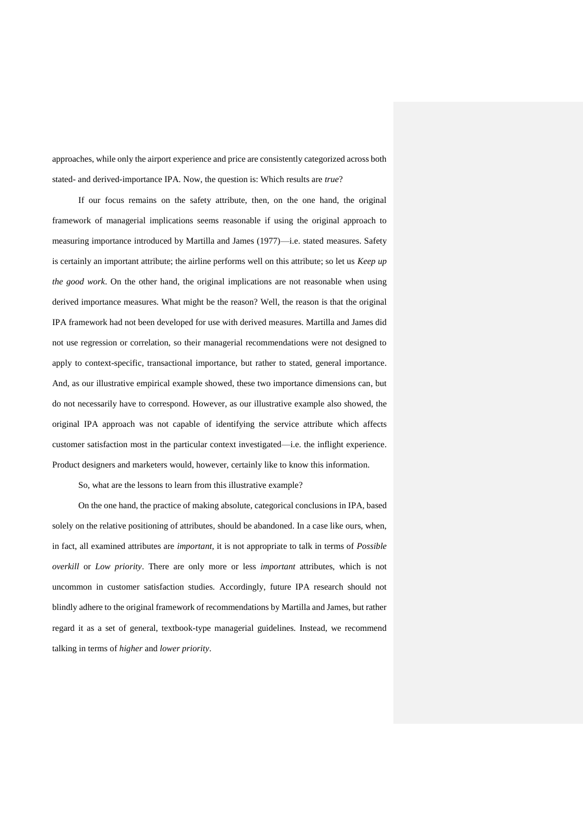approaches, while only the airport experience and price are consistently categorized across both stated- and derived-importance IPA. Now, the question is: Which results are *true*?

If our focus remains on the safety attribute, then, on the one hand, the original framework of managerial implications seems reasonable if using the original approach to measuring importance introduced by Martilla and James (1977)—i.e. stated measures. Safety is certainly an important attribute; the airline performs well on this attribute; so let us *Keep up the good work*. On the other hand, the original implications are not reasonable when using derived importance measures. What might be the reason? Well, the reason is that the original IPA framework had not been developed for use with derived measures. Martilla and James did not use regression or correlation, so their managerial recommendations were not designed to apply to context-specific, transactional importance, but rather to stated, general importance. And, as our illustrative empirical example showed, these two importance dimensions can, but do not necessarily have to correspond. However, as our illustrative example also showed, the original IPA approach was not capable of identifying the service attribute which affects customer satisfaction most in the particular context investigated—i.e. the inflight experience. Product designers and marketers would, however, certainly like to know this information.

So, what are the lessons to learn from this illustrative example?

On the one hand, the practice of making absolute, categorical conclusions in IPA, based solely on the relative positioning of attributes, should be abandoned. In a case like ours, when, in fact, all examined attributes are *important*, it is not appropriate to talk in terms of *Possible overkill* or *Low priority*. There are only more or less *important* attributes, which is not uncommon in customer satisfaction studies. Accordingly, future IPA research should not blindly adhere to the original framework of recommendations by Martilla and James, but rather regard it as a set of general, textbook-type managerial guidelines. Instead, we recommend talking in terms of *higher* and *lower priority*.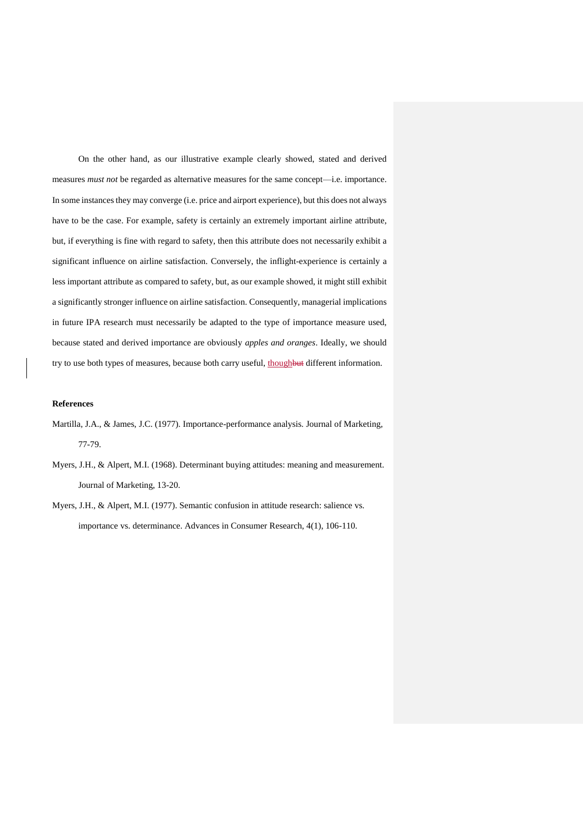On the other hand, as our illustrative example clearly showed, stated and derived measures *must not* be regarded as alternative measures for the same concept—i.e. importance. In some instances they may converge (i.e. price and airport experience), but this does not always have to be the case. For example, safety is certainly an extremely important airline attribute, but, if everything is fine with regard to safety, then this attribute does not necessarily exhibit a significant influence on airline satisfaction. Conversely, the inflight-experience is certainly a less important attribute as compared to safety, but, as our example showed, it might still exhibit a significantly stronger influence on airline satisfaction. Consequently, managerial implications in future IPA research must necessarily be adapted to the type of importance measure used, because stated and derived importance are obviously *apples and oranges*. Ideally, we should try to use both types of measures, because both carry useful, thoughbut different information.

#### **References**

- Martilla, J.A., & James, J.C. (1977). Importance-performance analysis. Journal of Marketing, 77-79.
- Myers, J.H., & Alpert, M.I. (1968). Determinant buying attitudes: meaning and measurement. Journal of Marketing, 13-20.
- Myers, J.H., & Alpert, M.I. (1977). Semantic confusion in attitude research: salience vs. importance vs. determinance. Advances in Consumer Research, 4(1), 106-110.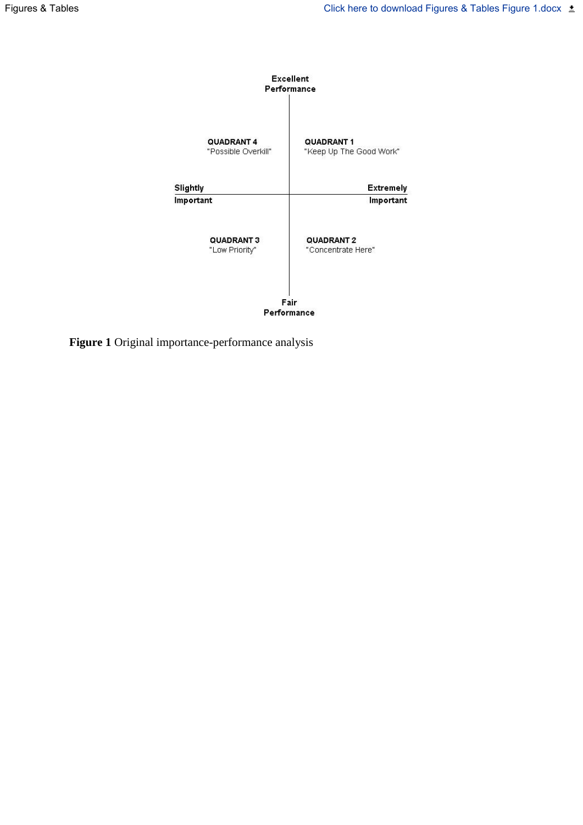

**Figure 1** Original importance-performance analysis